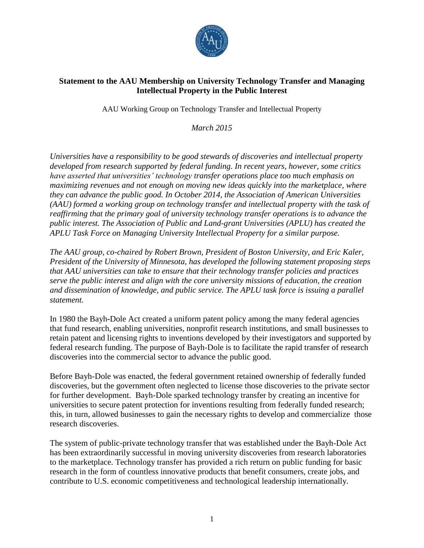

## **Statement to the AAU Membership on University Technology Transfer and Managing Intellectual Property in the Public Interest**

AAU Working Group on Technology Transfer and Intellectual Property

*March 2015*

*Universities have a responsibility to be good stewards of discoveries and intellectual property developed from research supported by federal funding. In recent years, however, some critics have asserted that universities' technology transfer operations place too much emphasis on maximizing revenues and not enough on moving new ideas quickly into the marketplace, where they can advance the public good. In October 2014, the Association of American Universities (AAU) formed a working group on technology transfer and intellectual property with the task of reaffirming that the primary goal of university technology transfer operations is to advance the public interest. The Association of Public and Land-grant Universities (APLU) has created the APLU Task Force on Managing University Intellectual Property for a similar purpose.*

*The AAU group, co-chaired by Robert Brown, President of Boston University, and Eric Kaler, President of the University of Minnesota, has developed the following statement proposing steps that AAU universities can take to ensure that their technology transfer policies and practices serve the public interest and align with the core university missions of education, the creation and dissemination of knowledge, and public service. The APLU task force is issuing a parallel statement.*

In 1980 the Bayh**-**Dole Act created a uniform patent policy among the many federal agencies that fund research, enabling universities, nonprofit research institutions, and small businesses to retain patent and licensing rights to inventions developed by their investigators and supported by federal research funding. The purpose of Bayh-Dole is to facilitate the rapid transfer of research discoveries into the commercial sector to advance the public good.

Before Bayh-Dole was enacted, the federal government retained ownership of federally funded discoveries, but the government often neglected to license those discoveries to the private sector for further development. Bayh-Dole sparked technology transfer by creating an incentive for universities to secure patent protection for inventions resulting from federally funded research; this, in turn, allowed businesses to gain the necessary rights to develop and commercialize those research discoveries.

The system of public-private technology transfer that was established under the Bayh-Dole Act has been extraordinarily successful in moving university discoveries from research laboratories to the marketplace. Technology transfer has provided a rich return on public funding for basic research in the form of countless innovative products that benefit consumers, create jobs, and contribute to U.S. economic competitiveness and technological leadership internationally.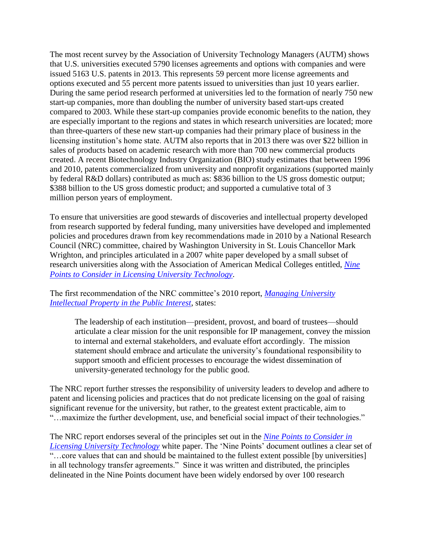The most recent survey by the Association of University Technology Managers (AUTM) shows that U.S. universities executed 5790 licenses agreements and options with companies and were issued 5163 U.S. patents in 2013. This represents 59 percent more license agreements and options executed and 55 percent more patents issued to universities than just 10 years earlier. During the same period research performed at universities led to the formation of nearly 750 new start-up companies, more than doubling the number of university based start-ups created compared to 2003. While these start-up companies provide economic benefits to the nation, they are especially important to the regions and states in which research universities are located; more than three-quarters of these new start-up companies had their primary place of business in the licensing institution's home state. AUTM also reports that in 2013 there was over \$22 billion in sales of products based on academic research with more than 700 new commercial products created. A recent Biotechnology Industry Organization (BIO) study estimates that between 1996 and 2010, patents commercialized from university and nonprofit organizations (supported mainly by federal R&D dollars) contributed as much as: \$836 billion to the US gross domestic output; \$388 billion to the US gross domestic product; and supported a cumulative total of 3 million person years of employment.

To ensure that universities are good stewards of discoveries and intellectual property developed from research supported by federal funding, many universities have developed and implemented policies and procedures drawn from key recommendations made in 2010 by a National Research Council (NRC) committee, chaired by Washington University in St. Louis Chancellor Mark Wrighton, and principles articulated in a 2007 white paper developed by a small subset of research universities along with the Association of American Medical Colleges entitled, *[Nine](http://www.autm.net/AM/Template.cfm?Section=Nine_Points_to_Consider1)  [Points to Consider in Licensing University Technology](http://www.autm.net/AM/Template.cfm?Section=Nine_Points_to_Consider1)*.

The first recommendation of the NRC committee's 2010 report, *[Managing University](http://www.nap.edu/catalog/13001/managing-university-intellectual-property-in-the-public-interest)  [Intellectual Property in the Public Interest](http://www.nap.edu/catalog/13001/managing-university-intellectual-property-in-the-public-interest)*, states:

The leadership of each institution—president, provost, and board of trustees—should articulate a clear mission for the unit responsible for IP management, convey the mission to internal and external stakeholders, and evaluate effort accordingly. The mission statement should embrace and articulate the university's foundational responsibility to support smooth and efficient processes to encourage the widest dissemination of university-generated technology for the public good.

The NRC report further stresses the responsibility of university leaders to develop and adhere to patent and licensing policies and practices that do not predicate licensing on the goal of raising significant revenue for the university, but rather, to the greatest extent practicable, aim to "…maximize the further development, use, and beneficial social impact of their technologies."

The NRC report endorses several of the principles set out in the *[Nine Points to Consider in](http://www.autm.net/AM/Template.cfm?Section=Nine_Points_to_Consider1)  [Licensing University Technology](http://www.autm.net/AM/Template.cfm?Section=Nine_Points_to_Consider1)* white paper. The 'Nine Points' document outlines a clear set of "...core values that can and should be maintained to the fullest extent possible [by universities] in all technology transfer agreements." Since it was written and distributed, the principles delineated in the Nine Points document have been widely endorsed by over 100 research